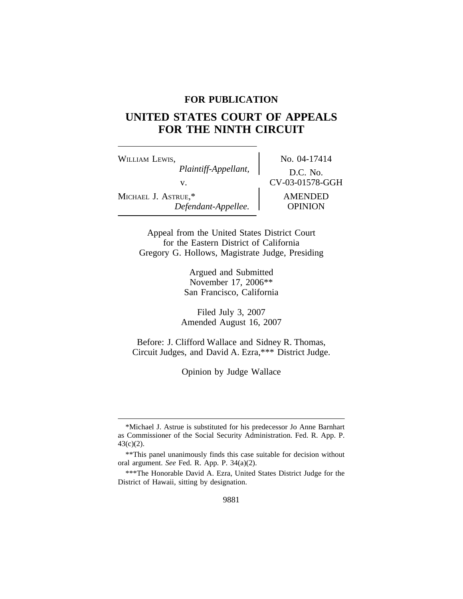## **FOR PUBLICATION**

# **UNITED STATES COURT OF APPEALS FOR THE NINTH CIRCUIT**

WILLIAM LEWIS, No. 04-17414 *Plaintiff-Appellant,* D.C. No. v. CV-03-01578-GGH MICHAEL J. ASTRUE,\* AMENDED *Defendant-Appellee.* OPINION

Appeal from the United States District Court for the Eastern District of California Gregory G. Hollows, Magistrate Judge, Presiding

> Argued and Submitted November 17, 2006\*\* San Francisco, California

Filed July 3, 2007 Amended August 16, 2007

Before: J. Clifford Wallace and Sidney R. Thomas, Circuit Judges, and David A. Ezra,\*\*\* District Judge.

Opinion by Judge Wallace

<sup>\*</sup>Michael J. Astrue is substituted for his predecessor Jo Anne Barnhart as Commissioner of the Social Security Administration. Fed. R. App. P. 43(c)(2).

<sup>\*\*</sup>This panel unanimously finds this case suitable for decision without oral argument. *See* Fed. R. App. P. 34(a)(2).

<sup>\*\*\*</sup>The Honorable David A. Ezra, United States District Judge for the District of Hawaii, sitting by designation.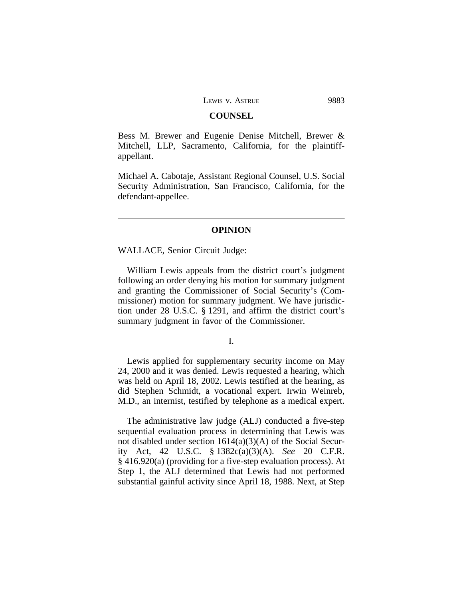#### **COUNSEL**

Bess M. Brewer and Eugenie Denise Mitchell, Brewer & Mitchell, LLP, Sacramento, California, for the plaintiffappellant.

Michael A. Cabotaje, Assistant Regional Counsel, U.S. Social Security Administration, San Francisco, California, for the defendant-appellee.

## **OPINION**

WALLACE, Senior Circuit Judge:

William Lewis appeals from the district court's judgment following an order denying his motion for summary judgment and granting the Commissioner of Social Security's (Commissioner) motion for summary judgment. We have jurisdiction under 28 U.S.C. § 1291, and affirm the district court's summary judgment in favor of the Commissioner.

I.

Lewis applied for supplementary security income on May 24, 2000 and it was denied. Lewis requested a hearing, which was held on April 18, 2002. Lewis testified at the hearing, as did Stephen Schmidt, a vocational expert. Irwin Weinreb, M.D., an internist, testified by telephone as a medical expert.

The administrative law judge (ALJ) conducted a five-step sequential evaluation process in determining that Lewis was not disabled under section 1614(a)(3)(A) of the Social Security Act, 42 U.S.C. § 1382c(a)(3)(A). *See* 20 C.F.R. § 416.920(a) (providing for a five-step evaluation process). At Step 1, the ALJ determined that Lewis had not performed substantial gainful activity since April 18, 1988. Next, at Step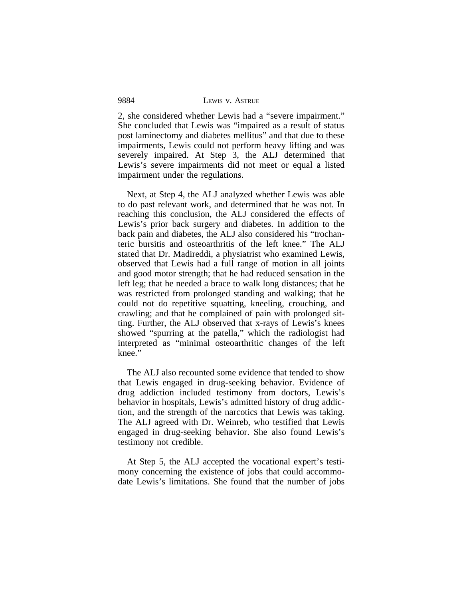2, she considered whether Lewis had a "severe impairment." She concluded that Lewis was "impaired as a result of status post laminectomy and diabetes mellitus" and that due to these impairments, Lewis could not perform heavy lifting and was severely impaired. At Step 3, the ALJ determined that Lewis's severe impairments did not meet or equal a listed impairment under the regulations.

Next, at Step 4, the ALJ analyzed whether Lewis was able to do past relevant work, and determined that he was not. In reaching this conclusion, the ALJ considered the effects of Lewis's prior back surgery and diabetes. In addition to the back pain and diabetes, the ALJ also considered his "trochanteric bursitis and osteoarthritis of the left knee." The ALJ stated that Dr. Madireddi, a physiatrist who examined Lewis, observed that Lewis had a full range of motion in all joints and good motor strength; that he had reduced sensation in the left leg; that he needed a brace to walk long distances; that he was restricted from prolonged standing and walking; that he could not do repetitive squatting, kneeling, crouching, and crawling; and that he complained of pain with prolonged sitting. Further, the ALJ observed that x-rays of Lewis's knees showed "spurring at the patella," which the radiologist had interpreted as "minimal osteoarthritic changes of the left knee."

The ALJ also recounted some evidence that tended to show that Lewis engaged in drug-seeking behavior. Evidence of drug addiction included testimony from doctors, Lewis's behavior in hospitals, Lewis's admitted history of drug addiction, and the strength of the narcotics that Lewis was taking. The ALJ agreed with Dr. Weinreb, who testified that Lewis engaged in drug-seeking behavior. She also found Lewis's testimony not credible.

At Step 5, the ALJ accepted the vocational expert's testimony concerning the existence of jobs that could accommodate Lewis's limitations. She found that the number of jobs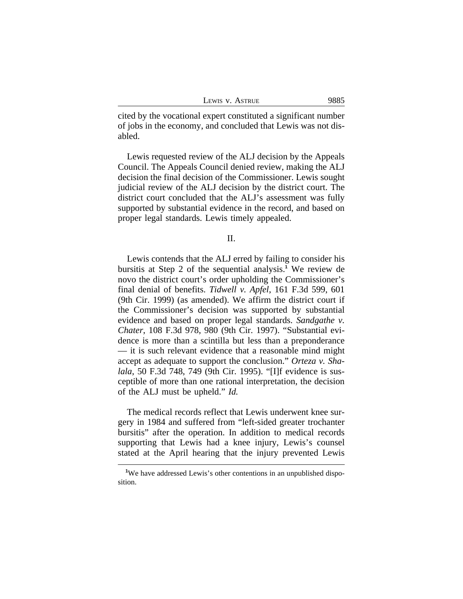|  | Lewis v. Astrue | 9885 |
|--|-----------------|------|
|  |                 |      |

cited by the vocational expert constituted a significant number of jobs in the economy, and concluded that Lewis was not disabled.

Lewis requested review of the ALJ decision by the Appeals Council. The Appeals Council denied review, making the ALJ decision the final decision of the Commissioner. Lewis sought judicial review of the ALJ decision by the district court. The district court concluded that the ALJ's assessment was fully supported by substantial evidence in the record, and based on proper legal standards. Lewis timely appealed.

### II.

Lewis contends that the ALJ erred by failing to consider his bursitis at Step 2 of the sequential analysis.**<sup>1</sup>** We review de novo the district court's order upholding the Commissioner's final denial of benefits. *Tidwell v. Apfel*, 161 F.3d 599, 601 (9th Cir. 1999) (as amended). We affirm the district court if the Commissioner's decision was supported by substantial evidence and based on proper legal standards. *Sandgathe v. Chater*, 108 F.3d 978, 980 (9th Cir. 1997). "Substantial evidence is more than a scintilla but less than a preponderance — it is such relevant evidence that a reasonable mind might accept as adequate to support the conclusion." *Orteza v. Shalala*, 50 F.3d 748, 749 (9th Cir. 1995). "[I]f evidence is susceptible of more than one rational interpretation, the decision of the ALJ must be upheld." *Id.*

The medical records reflect that Lewis underwent knee surgery in 1984 and suffered from "left-sided greater trochanter bursitis" after the operation. In addition to medical records supporting that Lewis had a knee injury, Lewis's counsel stated at the April hearing that the injury prevented Lewis

<sup>&</sup>lt;sup>1</sup>We have addressed Lewis's other contentions in an unpublished disposition.